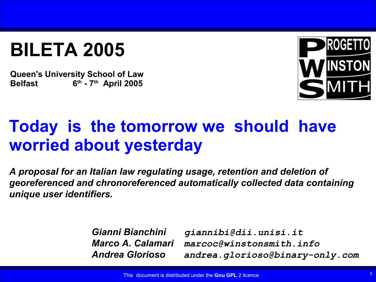## **BILETA 2005**

**Queen's University School of Law Belfast 6 th - 7th April 2005**



### **Today is the tomorrow we should have worried about yesterday**

*A proposal for an Italian law regulating usage, retention and deletion of georeferenced and chronoreferenced automatically collected data containing unique user identifiers.*

> *Gianni Bianchini giannibi@dii.unisi.it Marco A. Calamari marcoc@winstonsmith.info Andrea Glorioso andrea.glorioso@binary-only.com*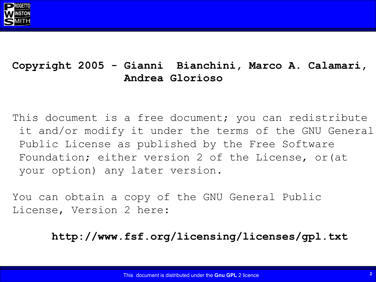

#### **Copyright 2005 - Gianni Bianchini, Marco A. Calamari, Andrea Glorioso**

This document is a free document; you can redistribute it and/or modify it under the terms of the GNU General Public License as published by the Free Software Foundation; either version 2 of the License, or(at your option) any later version.

You can obtain a copy of the GNU General Public License, Version 2 here:

**http://www.fsf.org/licensing/licenses/gpl.txt**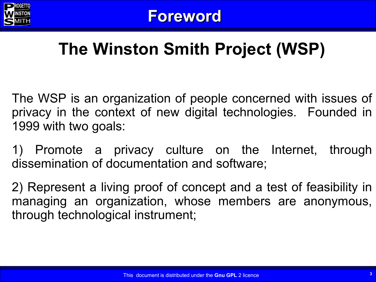

## **The Winston Smith Project (WSP)**

The WSP is an organization of people concerned with issues of privacy in the context of new digital technologies. Founded in 1999 with two goals:

1) Promote a privacy culture on the Internet, through dissemination of documentation and software;

2) Represent a living proof of concept and a test of feasibility in managing an organization, whose members are anonymous, through technological instrument;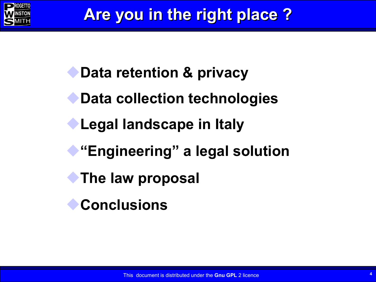

**Data retention & privacy Data collection technologies Legal landscape in Italy "Engineering" a legal solution The law proposal Conclusions**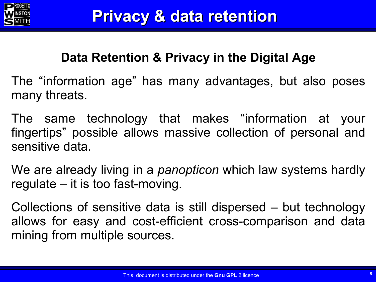

### **Data Retention & Privacy in the Digital Age**

The "information age" has many advantages, but also poses many threats.

The same technology that makes "information at your fingertips" possible allows massive collection of personal and sensitive data.

We are already living in a *panopticon* which law systems hardly regulate – it is too fast-moving.

Collections of sensitive data is still dispersed – but technology allows for easy and cost-efficient cross-comparison and data mining from multiple sources.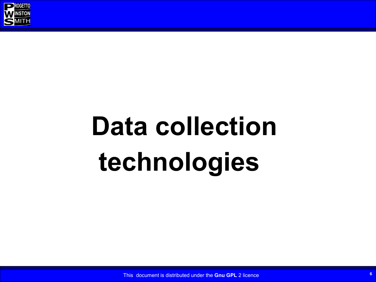

# **Data collection technologies**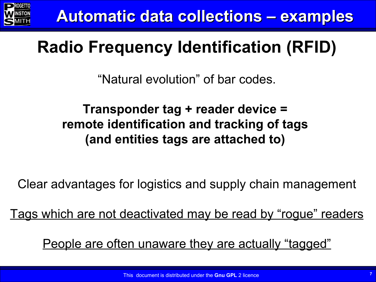

## **Radio Frequency Identification (RFID)**

"Natural evolution" of bar codes.

### **Transponder tag + reader device = remote identification and tracking of tags (and entities tags are attached to)**

Clear advantages for logistics and supply chain management

Tags which are not deactivated may be read by "rogue" readers

People are often unaware they are actually "tagged"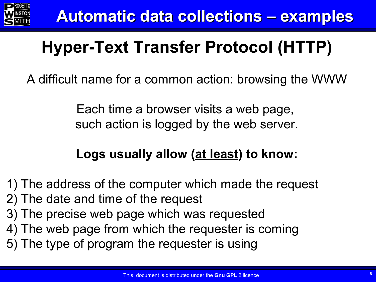

## **Hyper-Text Transfer Protocol (HTTP)**

A difficult name for a common action: browsing the WWW

Each time a browser visits a web page, such action is logged by the web server.

### **Logs usually allow (at least) to know:**

1) The address of the computer which made the request

- 2) The date and time of the request
- 3) The precise web page which was requested
- 4) The web page from which the requester is coming
- 5) The type of program the requester is using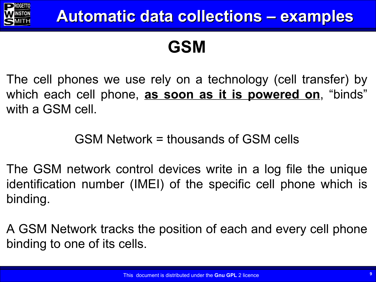

### **GSM**

The cell phones we use rely on a technology (cell transfer) by which each cell phone, **as soon as it is powered on**, "binds" with a GSM cell.

### GSM Network = thousands of GSM cells

The GSM network control devices write in a log file the unique identification number (IMEI) of the specific cell phone which is binding.

A GSM Network tracks the position of each and every cell phone binding to one of its cells.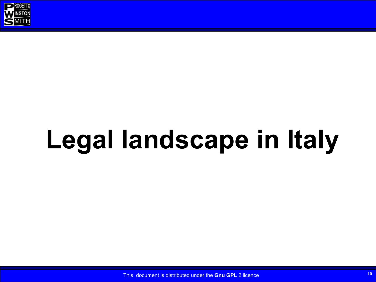

# **Legal landscape in Italy**

This document is distributed under the **Gnu GPL** 2 licence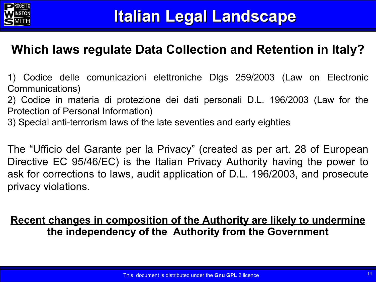

#### **Which laws regulate Data Collection and Retention in Italy?**

1) Codice delle comunicazioni elettroniche Dlgs 259/2003 (Law on Electronic Communications)

2) Codice in materia di protezione dei dati personali D.L. 196/2003 (Law for the Protection of Personal Information)

3) Special anti-terrorism laws of the late seventies and early eighties

The "Ufficio del Garante per la Privacy" (created as per art. 28 of European Directive EC 95/46/EC) is the Italian Privacy Authority having the power to ask for corrections to laws, audit application of D.L. 196/2003, and prosecute privacy violations.

#### **Recent changes in composition of the Authority are likely to undermine the independency of the Authority from the Government**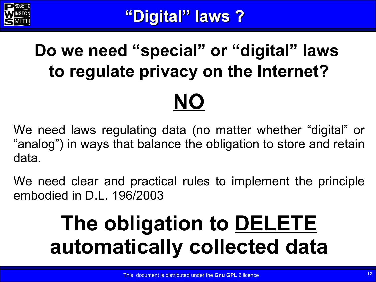

## **Do we need "special" or "digital" laws to regulate privacy on the Internet? NO**

We need laws regulating data (no matter whether "digital" or "analog") in ways that balance the obligation to store and retain data.

We need clear and practical rules to implement the principle embodied in D.L. 196/2003

## **The obligation to DELETE automatically collected data**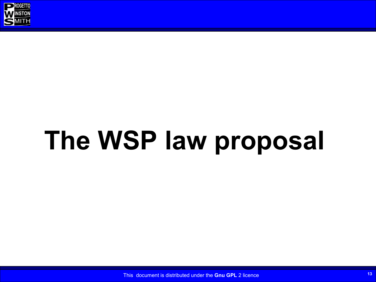

# **The WSP law proposal**

This document is distributed under the **Gnu GPL** 2 licence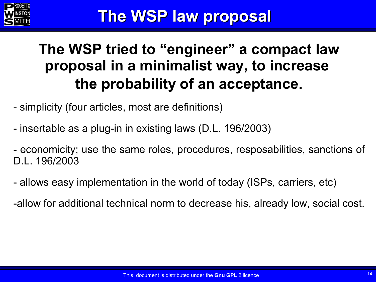

### **The WSP tried to "engineer" a compact law proposal in a minimalist way, to increase the probability of an acceptance.**

- simplicity (four articles, most are definitions)
- insertable as a plug-in in existing laws (D.L. 196/2003)
- economicity; use the same roles, procedures, resposabilities, sanctions of D.L. 196/2003
- allows easy implementation in the world of today (ISPs, carriers, etc)
- -allow for additional technical norm to decrease his, already low, social cost.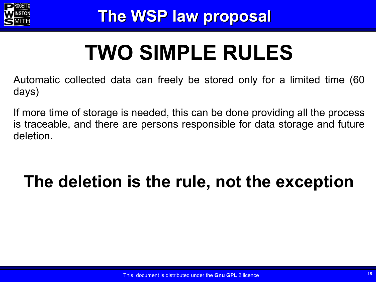

# **TWO SIMPLE RULES**

Automatic collected data can freely be stored only for a limited time (60 days)

If more time of storage is needed, this can be done providing all the process is traceable, and there are persons responsible for data storage and future deletion.

## **The deletion is the rule, not the exception**